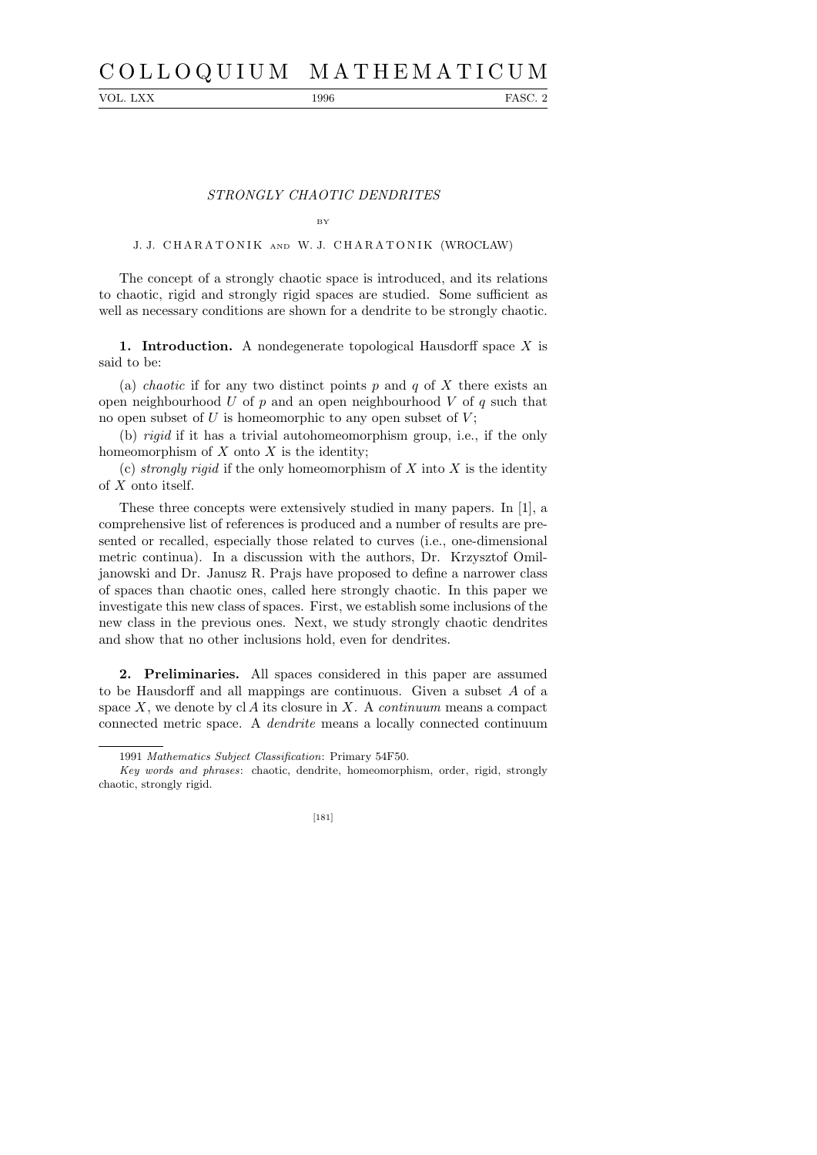# C O L L O Q U I U M M A T H E M A T I C U M

VOL. LXX 1996 FASC. 2

## STRONGLY CHAOTIC DENDRITES

### BY

# J. J. CHARATONIK AND W. J. CHARATONIK (WROCŁAW)

The concept of a strongly chaotic space is introduced, and its relations to chaotic, rigid and strongly rigid spaces are studied. Some sufficient as well as necessary conditions are shown for a dendrite to be strongly chaotic.

1. Introduction. A nondegenerate topological Hausdorff space  $X$  is said to be:

(a) *chaotic* if for any two distinct points p and q of X there exists an open neighbourhood U of  $p$  and an open neighbourhood V of  $q$  such that no open subset of  $U$  is homeomorphic to any open subset of  $V$ ;

(b) rigid if it has a trivial autohomeomorphism group, i.e., if the only homeomorphism of  $X$  onto  $X$  is the identity;

(c) strongly rigid if the only homeomorphism of X into X is the identity of X onto itself.

These three concepts were extensively studied in many papers. In [1], a comprehensive list of references is produced and a number of results are presented or recalled, especially those related to curves (i.e., one-dimensional metric continua). In a discussion with the authors, Dr. Krzysztof Omiljanowski and Dr. Janusz R. Prajs have proposed to define a narrower class of spaces than chaotic ones, called here strongly chaotic. In this paper we investigate this new class of spaces. First, we establish some inclusions of the new class in the previous ones. Next, we study strongly chaotic dendrites and show that no other inclusions hold, even for dendrites.

2. Preliminaries. All spaces considered in this paper are assumed to be Hausdorff and all mappings are continuous. Given a subset A of a space  $X$ , we denote by cl A its closure in X. A *continuum* means a compact connected metric space. A dendrite means a locally connected continuum

*Key words and phrases*: chaotic, dendrite, homeomorphism, order, rigid, strongly chaotic, strongly rigid.



<sup>1991</sup> *Mathematics Subject Classification*: Primary 54F50.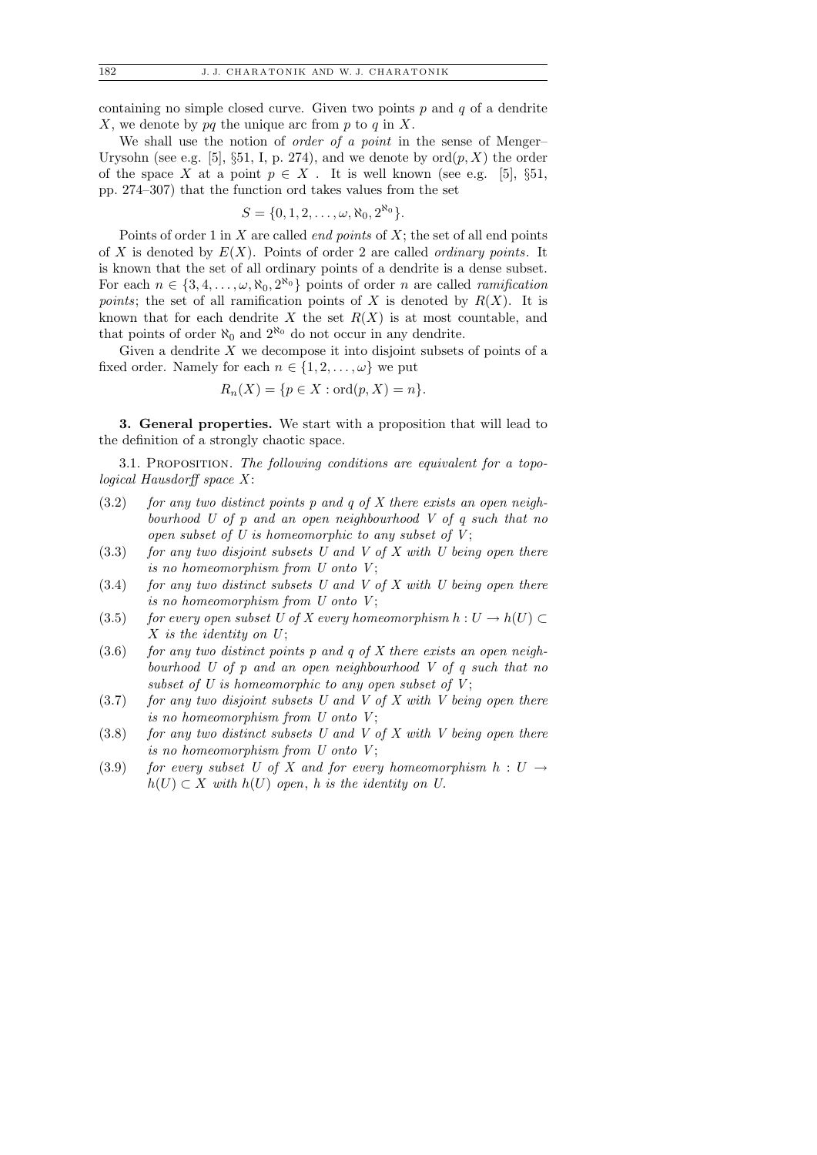containing no simple closed curve. Given two points  $p$  and  $q$  of a dendrite X, we denote by  $pq$  the unique arc from  $p$  to  $q$  in X.

We shall use the notion of *order of a point* in the sense of Menger– Urysohn (see e.g. [5], §51, I, p. 274), and we denote by  $\text{ord}(p, X)$  the order of the space X at a point  $p \in X$ . It is well known (see e.g. [5], §51, pp. 274–307) that the function ord takes values from the set

$$
S = \{0, 1, 2, \ldots, \omega, \aleph_0, 2^{\aleph_0}\}.
$$

Points of order 1 in  $X$  are called *end points* of  $X$ ; the set of all end points of X is denoted by  $E(X)$ . Points of order 2 are called *ordinary points*. It is known that the set of all ordinary points of a dendrite is a dense subset. For each  $n \in \{3, 4, \ldots, \omega, \aleph_0, 2^{\aleph_0}\}\)$  points of order n are called ramification *points*; the set of all ramification points of X is denoted by  $R(X)$ . It is known that for each dendrite X the set  $R(X)$  is at most countable, and that points of order  $\aleph_0$  and  $2^{\aleph_0}$  do not occur in any dendrite.

Given a dendrite  $X$  we decompose it into disjoint subsets of points of a fixed order. Namely for each  $n \in \{1, 2, \ldots, \omega\}$  we put

$$
R_n(X) = \{ p \in X : \text{ord}(p, X) = n \}.
$$

3. General properties. We start with a proposition that will lead to the definition of a strongly chaotic space.

3.1. PROPOSITION. The following conditions are equivalent for a topological Hausdorff space  $X$ :

- $(3.2)$  for any two distinct points p and q of X there exists an open neighbourhood U of p and an open neighbourhood V of q such that no open subset of U is homeomorphic to any subset of  $V$ ;
- $(3.3)$  for any two disjoint subsets U and V of X with U being open there is no homeomorphism from  $U$  onto  $V$ ;
- $(3.4)$  for any two distinct subsets U and V of X with U being open there is no homeomorphism from  $U$  onto  $V$ ;
- (3.5) for every open subset U of X every homeomorphism  $h: U \to h(U) \subset$  $X$  is the identity on  $U$ ;
- $(3.6)$  for any two distinct points p and q of X there exists an open neighbourhood U of p and an open neighbourhood V of q such that no subset of U is homeomorphic to any open subset of  $V$ ;
- $(3.7)$  for any two disjoint subsets U and V of X with V being open there is no homeomorphism from  $U$  onto  $V$ ;
- $(3.8)$  for any two distinct subsets U and V of X with V being open there is no homeomorphism from  $U$  onto  $V$ ;
- (3.9) for every subset U of X and for every homeomorphism  $h: U \rightarrow$  $h(U) \subset X$  with  $h(U)$  open, h is the identity on U.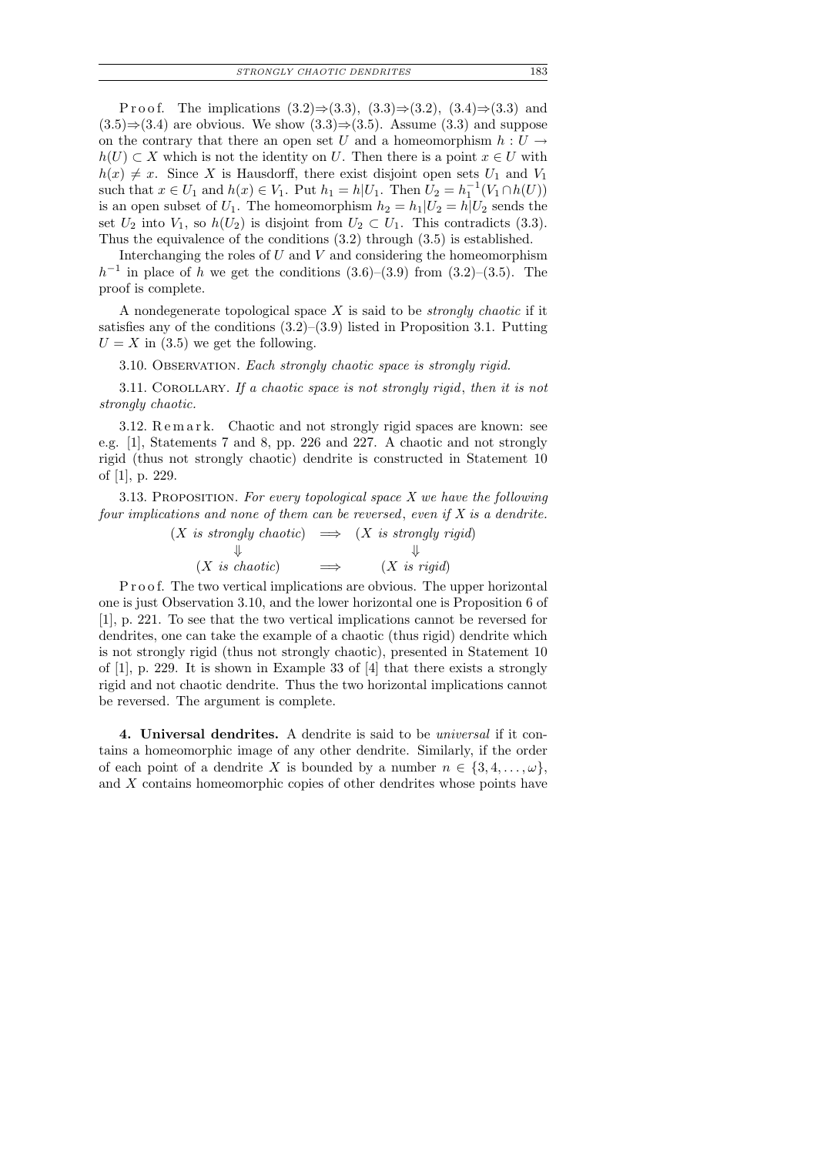P r o o f. The implications  $(3.2) \Rightarrow (3.3), (3.3) \Rightarrow (3.2), (3.4) \Rightarrow (3.3)$  and  $(3.5) \Rightarrow (3.4)$  are obvious. We show  $(3.3) \Rightarrow (3.5)$ . Assume  $(3.3)$  and suppose on the contrary that there an open set U and a homeomorphism  $h: U \rightarrow$  $h(U) \subset X$  which is not the identity on U. Then there is a point  $x \in U$  with  $h(x) \neq x$ . Since X is Hausdorff, there exist disjoint open sets  $U_1$  and  $V_1$ such that  $x \in U_1$  and  $h(x) \in V_1$ . Put  $h_1 = h|U_1$ . Then  $U_2 = h_1^{-1}(V_1 \cap h(U))$ is an open subset of  $U_1$ . The homeomorphism  $h_2 = h_1|U_2 = h|U_2$  sends the set  $U_2$  into  $V_1$ , so  $h(U_2)$  is disjoint from  $U_2 \subset U_1$ . This contradicts (3.3). Thus the equivalence of the conditions (3.2) through (3.5) is established.

Interchanging the roles of  $U$  and  $V$  and considering the homeomorphism  $h^{-1}$  in place of h we get the conditions  $(3.6)$ – $(3.9)$  from  $(3.2)$ – $(3.5)$ . The proof is complete.

A nondegenerate topological space  $X$  is said to be *strongly chaotic* if it satisfies any of the conditions  $(3.2)$ – $(3.9)$  listed in Proposition 3.1. Putting  $U = X$  in (3.5) we get the following.

3.10. Observation. Each strongly chaotic space is strongly rigid.

3.11. Corollary. If a chaotic space is not strongly rigid, then it is not strongly chaotic.

3.12. Remark. Chaotic and not strongly rigid spaces are known: see e.g. [1], Statements 7 and 8, pp. 226 and 227. A chaotic and not strongly rigid (thus not strongly chaotic) dendrite is constructed in Statement 10 of [1], p. 229.

3.13. PROPOSITION. For every topological space  $X$  we have the following four implications and none of them can be reversed, even if  $X$  is a dendrite.

> $(X \text{ is strongly chaotic}) \implies (X \text{ is strongly rigid})$  $\Downarrow$  $(X \text{ is chaotic}) \longrightarrow (X \text{ is rigid})$

P r o o f. The two vertical implications are obvious. The upper horizontal one is just Observation 3.10, and the lower horizontal one is Proposition 6 of [1], p. 221. To see that the two vertical implications cannot be reversed for dendrites, one can take the example of a chaotic (thus rigid) dendrite which is not strongly rigid (thus not strongly chaotic), presented in Statement 10 of  $[1]$ , p. 229. It is shown in Example 33 of  $[4]$  that there exists a strongly rigid and not chaotic dendrite. Thus the two horizontal implications cannot be reversed. The argument is complete.

4. Universal dendrites. A dendrite is said to be universal if it contains a homeomorphic image of any other dendrite. Similarly, if the order of each point of a dendrite X is bounded by a number  $n \in \{3, 4, \ldots, \omega\}$ , and X contains homeomorphic copies of other dendrites whose points have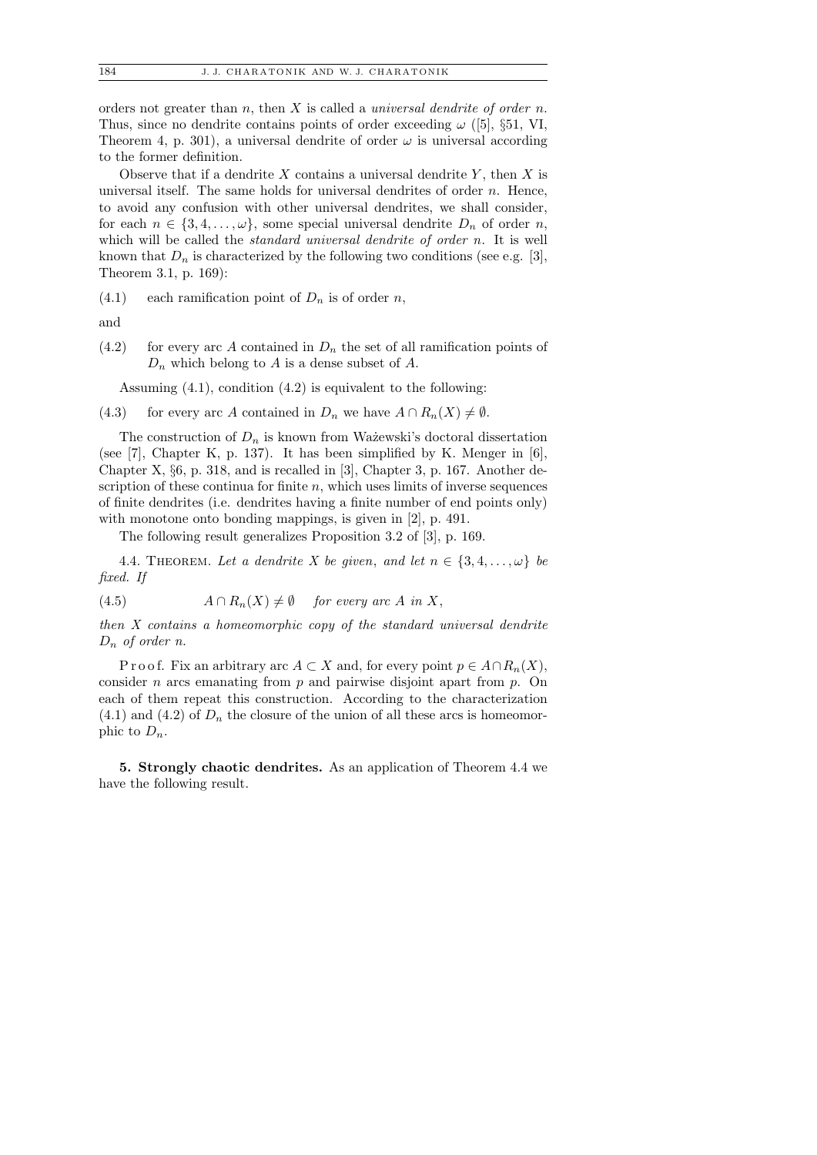orders not greater than n, then X is called a *universal dendrite of order n*. Thus, since no dendrite contains points of order exceeding  $\omega$  ([5], §51, VI, Theorem 4, p. 301), a universal dendrite of order  $\omega$  is universal according to the former definition.

Observe that if a dendrite  $X$  contains a universal dendrite  $Y$ , then  $X$  is universal itself. The same holds for universal dendrites of order  $n$ . Hence, to avoid any confusion with other universal dendrites, we shall consider, for each  $n \in \{3, 4, \ldots, \omega\}$ , some special universal dendrite  $D_n$  of order n, which will be called the *standard universal dendrite of order n*. It is well known that  $D_n$  is characterized by the following two conditions (see e.g. [3], Theorem 3.1, p. 169):

 $(4.1)$  each ramification point of  $D_n$  is of order n,

and

 $(4.2)$  for every arc A contained in  $D_n$  the set of all ramification points of  $D_n$  which belong to A is a dense subset of A.

Assuming (4.1), condition (4.2) is equivalent to the following:

(4.3) for every arc A contained in  $D_n$  we have  $A \cap R_n(X) \neq \emptyset$ .

The construction of  $D_n$  is known from Ważewski's doctoral dissertation (see [7], Chapter K, p. 137). It has been simplified by K. Menger in [6], Chapter X, §6, p. 318, and is recalled in [3], Chapter 3, p. 167. Another description of these continua for finite  $n$ , which uses limits of inverse sequences of finite dendrites (i.e. dendrites having a finite number of end points only) with monotone onto bonding mappings, is given in [2], p. 491.

The following result generalizes Proposition 3.2 of [3], p. 169.

4.4. THEOREM. Let a dendrite X be given, and let  $n \in \{3, 4, \ldots, \omega\}$  be fixed. If

(4.5) 
$$
A \cap R_n(X) \neq \emptyset
$$
 for every arc A in X,

then X contains a homeomorphic copy of the standard universal dendrite  $D_n$  of order n.

P r o o f. Fix an arbitrary arc  $A \subset X$  and, for every point  $p \in A \cap R_n(X)$ , consider *n* arcs emanating from  $p$  and pairwise disjoint apart from  $p$ . On each of them repeat this construction. According to the characterization  $(4.1)$  and  $(4.2)$  of  $D_n$  the closure of the union of all these arcs is homeomorphic to  $D_n$ .

5. Strongly chaotic dendrites. As an application of Theorem 4.4 we have the following result.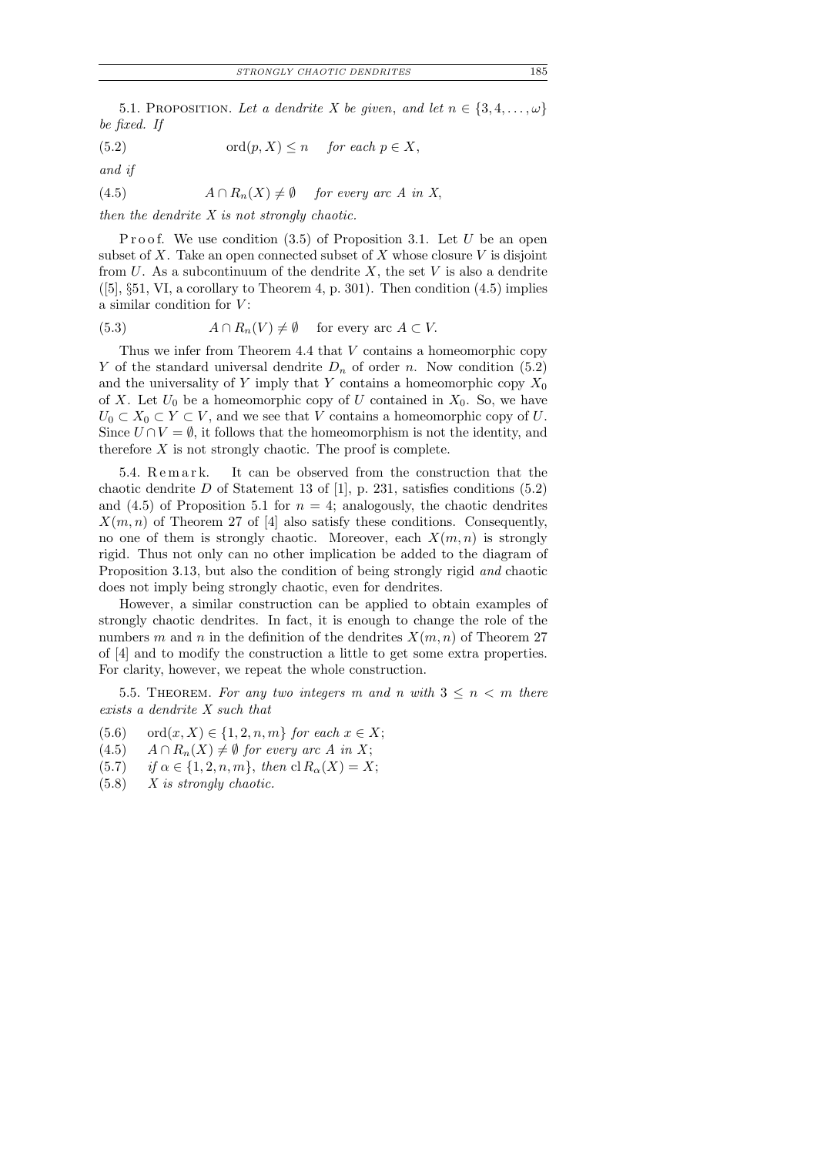5.1. PROPOSITION. Let a dendrite X be given, and let  $n \in \{3, 4, \ldots, \omega\}$ be fixed. If

(5.2) 
$$
\text{ord}(p, X) \le n \quad \text{for each } p \in X,
$$

and if

(4.5)  $A \cap R_n(X) \neq \emptyset$  for every arc A in X,

then the dendrite  $X$  is not strongly chaotic.

Proof. We use condition  $(3.5)$  of Proposition 3.1. Let U be an open subset of X. Take an open connected subset of X whose closure  $V$  is disjoint from  $U$ . As a subcontinuum of the dendrite  $X$ , the set  $V$  is also a dendrite  $([5], \S 51, VI$ , a corollary to Theorem 4, p. 301). Then condition  $(4.5)$  implies a similar condition for  $V$ :

(5.3) 
$$
A \cap R_n(V) \neq \emptyset
$$
 for every arc  $A \subset V$ .

Thus we infer from Theorem 4.4 that V contains a homeomorphic copy Y of the standard universal dendrite  $D_n$  of order n. Now condition (5.2) and the universality of Y imply that Y contains a homeomorphic copy  $X_0$ of X. Let  $U_0$  be a homeomorphic copy of U contained in  $X_0$ . So, we have  $U_0 \subset X_0 \subset Y \subset V$ , and we see that V contains a homeomorphic copy of U. Since  $U \cap V = \emptyset$ , it follows that the homeomorphism is not the identity, and therefore  $X$  is not strongly chaotic. The proof is complete.

5.4. Remark. It can be observed from the construction that the chaotic dendrite D of Statement 13 of [1], p. 231, satisfies conditions  $(5.2)$ and  $(4.5)$  of Proposition 5.1 for  $n = 4$ ; analogously, the chaotic dendrites  $X(m, n)$  of Theorem 27 of [4] also satisfy these conditions. Consequently, no one of them is strongly chaotic. Moreover, each  $X(m, n)$  is strongly rigid. Thus not only can no other implication be added to the diagram of Proposition 3.13, but also the condition of being strongly rigid and chaotic does not imply being strongly chaotic, even for dendrites.

However, a similar construction can be applied to obtain examples of strongly chaotic dendrites. In fact, it is enough to change the role of the numbers m and n in the definition of the dendrites  $X(m, n)$  of Theorem 27 of [4] and to modify the construction a little to get some extra properties. For clarity, however, we repeat the whole construction.

5.5. THEOREM. For any two integers m and n with  $3 \leq n \leq m$  there exists a dendrite X such that

- (5.6) ord $(x, X) \in \{1, 2, n, m\}$  for each  $x \in X$ ;
- $(4.5)$   $A \cap R_n(X) \neq \emptyset$  for every arc A in X;
- (5.7) if  $\alpha \in \{1, 2, n, m\}$ , then  $\text{cl } R_{\alpha}(X) = X$ ;
- $(5.8)$  X is strongly chaotic.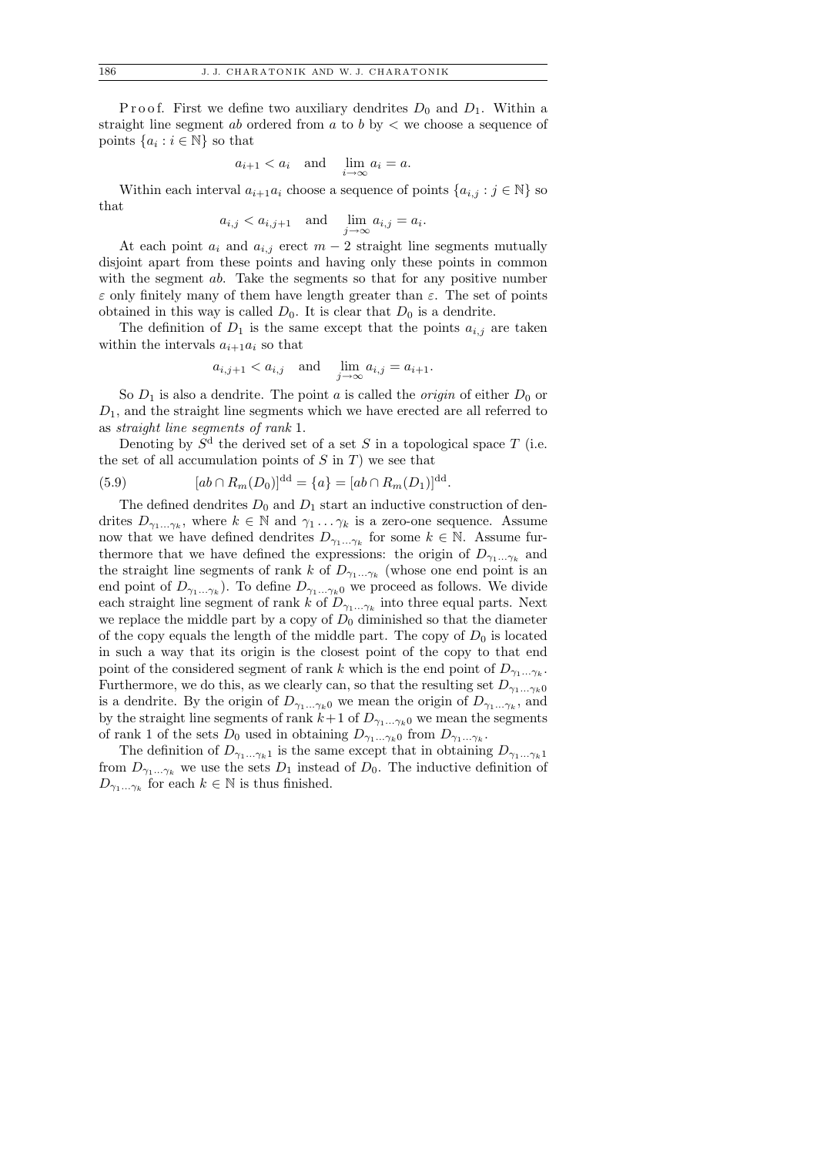P r o o f. First we define two auxiliary dendrites  $D_0$  and  $D_1$ . Within a straight line segment ab ordered from a to b by  $\lt$  we choose a sequence of points  $\{a_i : i \in \mathbb{N}\}\)$  so that

$$
a_{i+1} < a_i
$$
 and  $\lim_{i \to \infty} a_i = a$ .

Within each interval  $a_{i+1}a_i$  choose a sequence of points  $\{a_{i,j} : j \in \mathbb{N}\}\$  so that

$$
a_{i,j} < a_{i,j+1}
$$
 and  $\lim_{j \to \infty} a_{i,j} = a_i$ .

At each point  $a_i$  and  $a_{i,j}$  erect  $m-2$  straight line segments mutually disjoint apart from these points and having only these points in common with the segment ab. Take the segments so that for any positive number  $\varepsilon$  only finitely many of them have length greater than  $\varepsilon$ . The set of points obtained in this way is called  $D_0$ . It is clear that  $D_0$  is a dendrite.

The definition of  $D_1$  is the same except that the points  $a_{i,j}$  are taken within the intervals  $a_{i+1}a_i$  so that

$$
a_{i,j+1} < a_{i,j} \quad \text{and} \quad \lim_{j \to \infty} a_{i,j} = a_{i+1}.
$$

So  $D_1$  is also a dendrite. The point a is called the *origin* of either  $D_0$  or  $D_1$ , and the straight line segments which we have erected are all referred to as straight line segments of rank 1.

Denoting by  $S<sup>d</sup>$  the derived set of a set S in a topological space T (i.e. the set of all accumulation points of  $S$  in  $T$ ) we see that

(5.9) 
$$
[ab \cap R_m(D_0)]^{\text{dd}} = \{a\} = [ab \cap R_m(D_1)]^{\text{dd}}.
$$

The defined dendrites  $D_0$  and  $D_1$  start an inductive construction of dendrites  $D_{\gamma_1...\gamma_k}$ , where  $k \in \mathbb{N}$  and  $\gamma_1...\gamma_k$  is a zero-one sequence. Assume now that we have defined dendrites  $D_{\gamma_1...\gamma_k}$  for some  $k \in \mathbb{N}$ . Assume furthermore that we have defined the expressions: the origin of  $D_{\gamma_1...\gamma_k}$  and the straight line segments of rank k of  $D_{\gamma_1...\gamma_k}$  (whose one end point is an end point of  $D_{\gamma_1...\gamma_k}$ ). To define  $D_{\gamma_1...\gamma_k0}$  we proceed as follows. We divide each straight line segment of rank k of  $D_{\gamma_1...\gamma_k}$  into three equal parts. Next we replace the middle part by a copy of  $D_0$  diminished so that the diameter of the copy equals the length of the middle part. The copy of  $D_0$  is located in such a way that its origin is the closest point of the copy to that end point of the considered segment of rank k which is the end point of  $D_{\gamma_1...\gamma_k}$ . Furthermore, we do this, as we clearly can, so that the resulting set  $D_{\gamma_1...\gamma_k0}$ is a dendrite. By the origin of  $D_{\gamma_1...\gamma_k0}$  we mean the origin of  $D_{\gamma_1...\gamma_k}$ , and by the straight line segments of rank  $k+1$  of  $D_{\gamma_1...\gamma_k0}$  we mean the segments of rank 1 of the sets  $D_0$  used in obtaining  $D_{\gamma_1...\gamma_k0}$  from  $D_{\gamma_1...\gamma_k}$ .

The definition of  $D_{\gamma_1...\gamma_k1}$  is the same except that in obtaining  $D_{\gamma_1...\gamma_k1}$ from  $D_{\gamma_1...\gamma_k}$  we use the sets  $D_1$  instead of  $D_0$ . The inductive definition of  $D_{\gamma_1...\gamma_k}$  for each  $k \in \mathbb{N}$  is thus finished.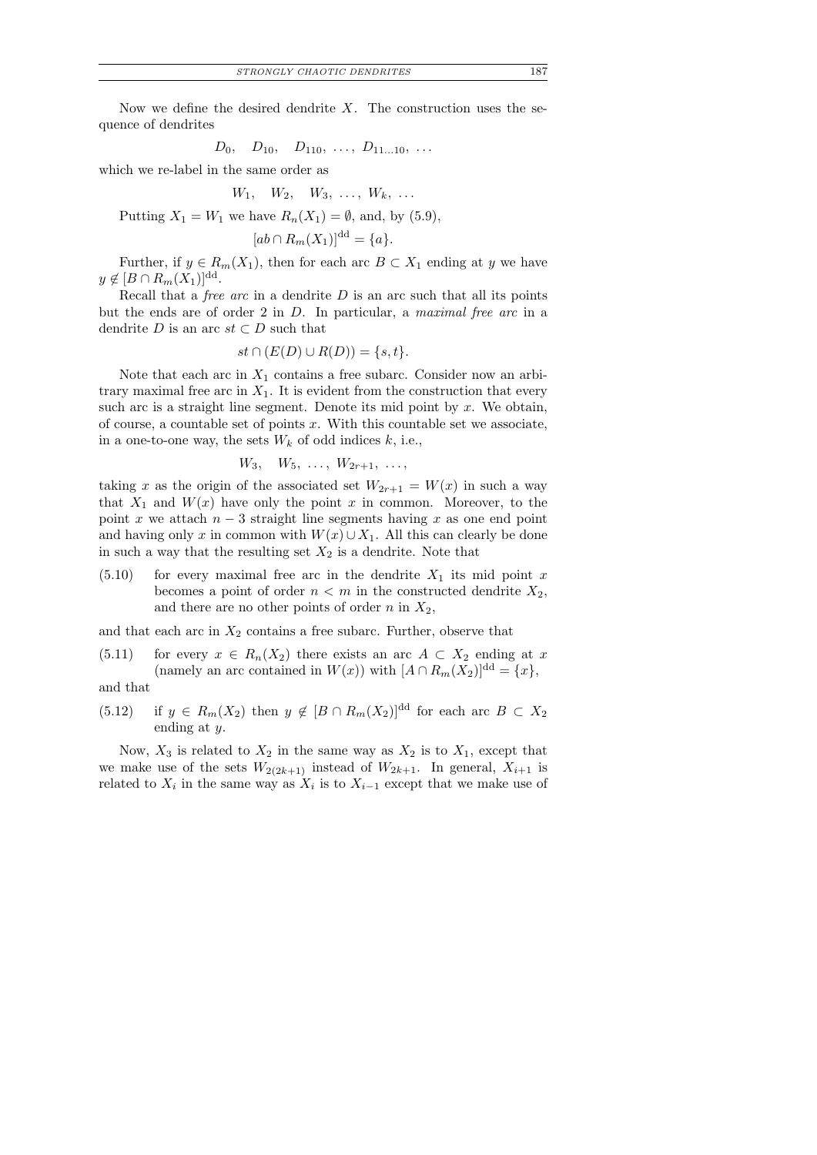$$
D_0, \quad D_{10}, \quad D_{110}, \ \ldots, \ D_{11...10}, \ \ldots
$$

which we re-label in the same order as

$$
W_1, \quad W_2, \quad W_3, \quad \ldots, \quad W_k, \quad \ldots
$$

Putting  $X_1 = W_1$  we have  $R_n(X_1) = \emptyset$ , and, by (5.9),

$$
ab \cap R_m(X_1)]^{\mathrm{dd}} = \{a\}.
$$

Further, if  $y \in R_m(X_1)$ , then for each arc  $B \subset X_1$  ending at y we have  $y \notin [B \cap R_m(X_1)]^{\text{dd}}.$ 

Recall that a *free arc* in a dendrite  $D$  is an arc such that all its points but the ends are of order 2 in D. In particular, a maximal free arc in a dendrite D is an arc  $st \subset D$  such that

$$
st \cap (E(D) \cup R(D)) = \{s, t\}.
$$

Note that each arc in  $X_1$  contains a free subarc. Consider now an arbitrary maximal free arc in  $X_1$ . It is evident from the construction that every such arc is a straight line segment. Denote its mid point by  $x$ . We obtain, of course, a countable set of points  $x$ . With this countable set we associate, in a one-to-one way, the sets  $W_k$  of odd indices  $k$ , i.e.,

 $W_3, W_5, \ldots, W_{2r+1}, \ldots,$ 

taking x as the origin of the associated set  $W_{2r+1} = W(x)$  in such a way that  $X_1$  and  $W(x)$  have only the point x in common. Moreover, to the point x we attach  $n-3$  straight line segments having x as one end point and having only x in common with  $W(x) \cup X_1$ . All this can clearly be done in such a way that the resulting set  $X_2$  is a dendrite. Note that

 $(5.10)$  for every maximal free arc in the dendrite  $X_1$  its mid point x becomes a point of order  $n < m$  in the constructed dendrite  $X_2$ , and there are no other points of order n in  $X_2$ ,

and that each arc in  $X_2$  contains a free subarc. Further, observe that

(5.11) for every 
$$
x \in R_n(X_2)
$$
 there exists an arc  $A \subset X_2$  ending at x  
(namely an arc contained in  $W(x)$ ) with  $[A \cap R_m(X_2)]^{dd} = \{x\},\$ 

and that

(5.12) if  $y \in R_m(X_2)$  then  $y \notin [B \cap R_m(X_2)]^{\text{dd}}$  for each arc  $B \subset X_2$ ending at y.

Now,  $X_3$  is related to  $X_2$  in the same way as  $X_2$  is to  $X_1$ , except that we make use of the sets  $W_{2(2k+1)}$  instead of  $W_{2k+1}$ . In general,  $X_{i+1}$  is related to  $X_i$  in the same way as  $X_i$  is to  $X_{i-1}$  except that we make use of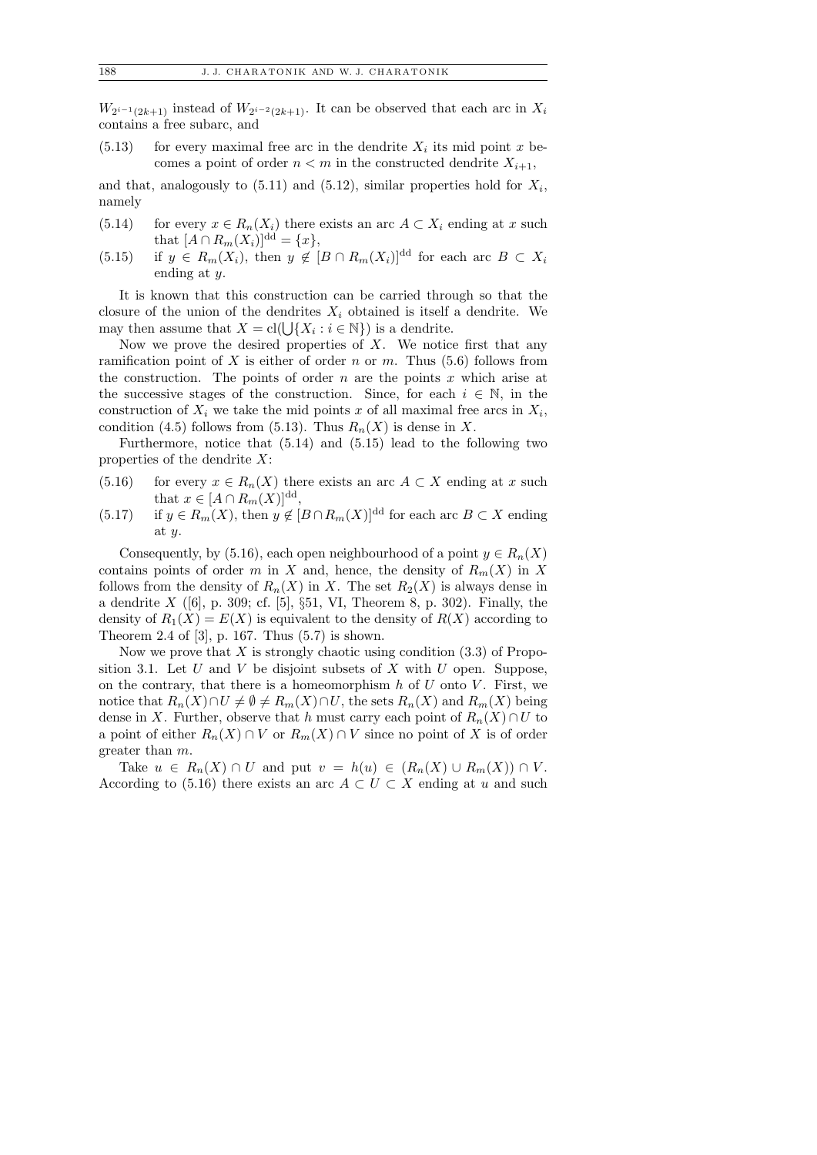$W_{2^{i-1}(2k+1)}$  instead of  $W_{2^{i-2}(2k+1)}$ . It can be observed that each arc in  $X_i$ contains a free subarc, and

 $(5.13)$  for every maximal free arc in the dendrite  $X_i$  its mid point x becomes a point of order  $n < m$  in the constructed dendrite  $X_{i+1}$ ,

and that, analogously to  $(5.11)$  and  $(5.12)$ , similar properties hold for  $X_i$ , namely

- (5.14) for every  $x \in R_n(X_i)$  there exists an arc  $A \subset X_i$  ending at x such that  $[A \cap R_m(X_i)]^{\text{dd}} = \{x\},\$
- (5.15) if  $y \in R_m(X_i)$ , then  $y \notin [B \cap R_m(X_i)]^{\text{dd}}$  for each arc  $B \subset X_i$ ending at y.

It is known that this construction can be carried through so that the closure of the union of the dendrites  $X_i$  obtained is itself a dendrite. We may then assume that  $X = \text{cl}(\bigcup \{X_i : i \in \mathbb{N}\})$  is a dendrite.

Now we prove the desired properties of  $X$ . We notice first that any ramification point of X is either of order n or m. Thus  $(5.6)$  follows from the construction. The points of order  $n$  are the points  $x$  which arise at the successive stages of the construction. Since, for each  $i \in \mathbb{N}$ , in the construction of  $X_i$  we take the mid points x of all maximal free arcs in  $X_i$ , condition (4.5) follows from (5.13). Thus  $R_n(X)$  is dense in X.

Furthermore, notice that (5.14) and (5.15) lead to the following two properties of the dendrite  $X$ :

- (5.16) for every  $x \in R_n(X)$  there exists an arc  $A \subset X$  ending at x such that  $x \in [A \cap R_m(X)]^{\text{dd}}$ ,
- (5.17) if  $y \in R_m(X)$ , then  $y \notin [B \cap R_m(X)]^{\text{dd}}$  for each arc  $B \subset X$  ending at y.

Consequently, by (5.16), each open neighbourhood of a point  $y \in R_n(X)$ contains points of order m in X and, hence, the density of  $R_m(X)$  in X follows from the density of  $R_n(X)$  in X. The set  $R_2(X)$  is always dense in a dendrite  $X$  ([6], p. 309; cf. [5], §51, VI, Theorem 8, p. 302). Finally, the density of  $R_1(X) = E(X)$  is equivalent to the density of  $R(X)$  according to Theorem 2.4 of [3], p. 167. Thus (5.7) is shown.

Now we prove that  $X$  is strongly chaotic using condition  $(3.3)$  of Proposition 3.1. Let  $U$  and  $V$  be disjoint subsets of  $X$  with  $U$  open. Suppose, on the contrary, that there is a homeomorphism  $h$  of  $U$  onto  $V$ . First, we notice that  $R_n(X) \cap U \neq \emptyset \neq R_m(X) \cap U$ , the sets  $R_n(X)$  and  $R_m(X)$  being dense in X. Further, observe that h must carry each point of  $R_n(X) \cap U$  to a point of either  $R_n(X) \cap V$  or  $R_m(X) \cap V$  since no point of X is of order greater than m.

Take  $u \in R_n(X) \cap U$  and put  $v = h(u) \in (R_n(X) \cup R_m(X)) \cap V$ . According to (5.16) there exists an arc  $A \subset U \subset X$  ending at u and such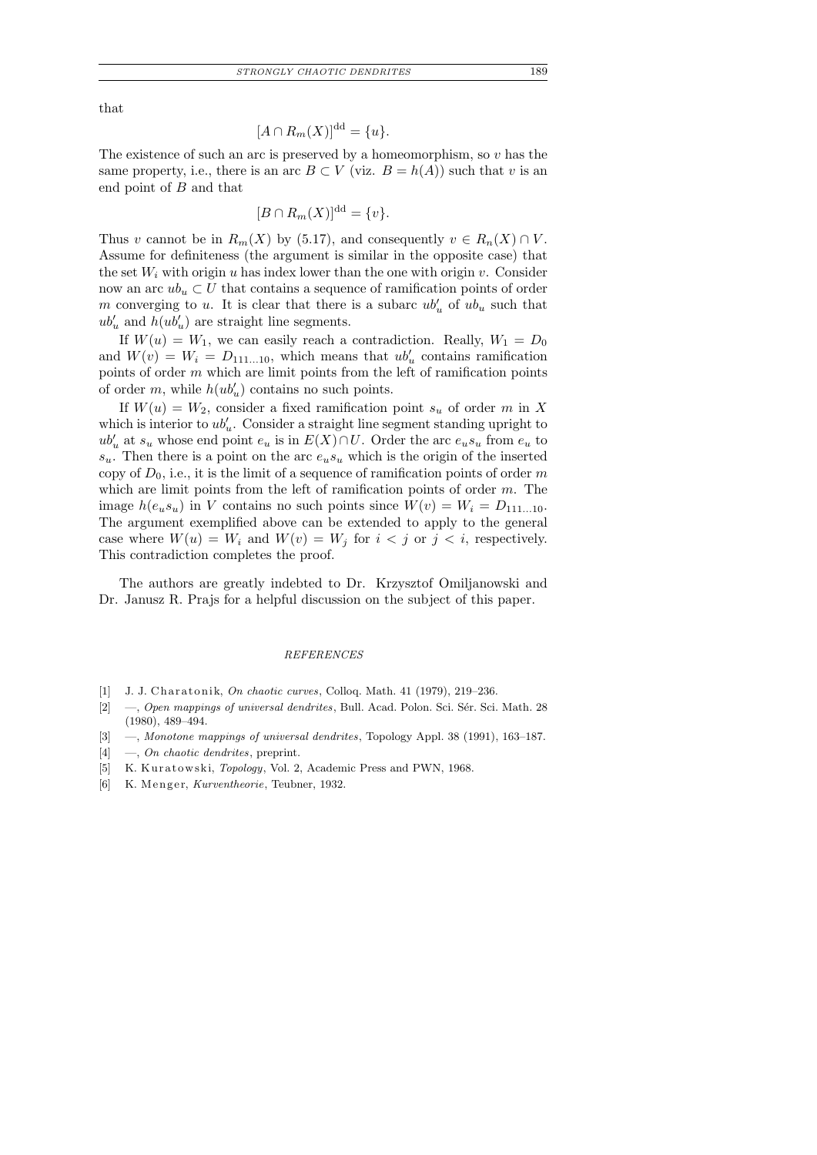that

$$
[A \cap R_m(X)]^{\rm dd} = \{u\}.
$$

The existence of such an arc is preserved by a homeomorphism, so  $v$  has the same property, i.e., there is an arc  $B \subset V$  (viz.  $B = h(A)$ ) such that v is an end point of B and that

$$
[B \cap R_m(X)]^{\rm dd} = \{v\}.
$$

Thus v cannot be in  $R_m(X)$  by (5.17), and consequently  $v \in R_n(X) \cap V$ . Assume for definiteness (the argument is similar in the opposite case) that the set  $W_i$  with origin u has index lower than the one with origin v. Consider now an arc  $ub_u \,\subset U$  that contains a sequence of ramification points of order m converging to u. It is clear that there is a subarc  $ub'_u$  of  $ub_u$  such that  $ub'_u$  and  $h(ub'_u)$  are straight line segments.

If  $W(u) = W_1$ , we can easily reach a contradiction. Really,  $W_1 = D_0$ and  $W(v) = W_i = D_{111...10}$ , which means that  $ub'_u$  contains ramification points of order m which are limit points from the left of ramification points of order  $m$ , while  $h(ub'_u)$  contains no such points.

If  $W(u) = W_2$ , consider a fixed ramification point  $s_u$  of order m in X which is interior to  $ub'_u$ . Consider a straight line segment standing upright to  $ub'_u$  at  $s_u$  whose end point  $e_u$  is in  $E(X) \cap U$ . Order the arc  $e_us_u$  from  $e_u$  to  $s_u$ . Then there is a point on the arc  $e_us_u$  which is the origin of the inserted copy of  $D_0$ , i.e., it is the limit of a sequence of ramification points of order m which are limit points from the left of ramification points of order  $m$ . The image  $h(e_us_u)$  in V contains no such points since  $W(v) = W_i = D_{111...10}$ . The argument exemplified above can be extended to apply to the general case where  $W(u) = W_i$  and  $W(v) = W_j$  for  $i < j$  or  $j < i$ , respectively. This contradiction completes the proof.

The authors are greatly indebted to Dr. Krzysztof Omiljanowski and Dr. Janusz R. Prajs for a helpful discussion on the subject of this paper.

# *REFERENCES*

- [1] J. J. Charatonik, *On chaotic curves*, Colloq. Math. 41 (1979), 219-236.
- [2] —, *Open mappings of universal dendrites*, Bull. Acad. Polon. Sci. Sér. Sci. Math. 28 (1980), 489–494.
- [3] —, *Monotone mappings of universal dendrites*, Topology Appl. 38 (1991), 163–187.
- [4] —, *On chaotic dendrites*, preprint.
- [5] K. Kuratowski, *Topology*, Vol. 2, Academic Press and PWN, 1968.
- [6] K. Menger, *Kurventheorie*, Teubner, 1932.